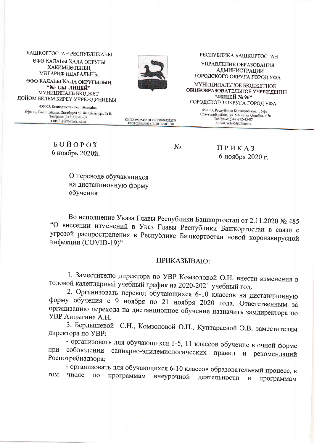БАШКОРТОСТАН РЕСПУБЛИКАЊЫ

ӨФӨ КАЛАЊІ КАЛА ОКРУГЫ ХАКИМИӘТЕНЕН МӘҒАРИФ ИДАРАЛЫҒЫ

ӨФӨ КАЛАЫЫ КАЛА ОКРУГЫНЫҢ "96-СЫ ЛИЦЕЙ" МУНИЦИПАЛЬ БЮДЖЕТ ДӨЙӨМ БЕЛЕМ БИРЕҮ УЧРЕЖДЕНИЕҺЫ

450005, Башкортостан Республикаћы, Өфө к., Совет районы, Октябрзен 50 йыллығы ур., 7а й. Тел/факс: (347)272-43-07 e-mail: sch96@ufanet.ru



РЕСПУБЛИКА БАШКОРТОСТАН

УПРАВЛЕНИЕ ОБРАЗОВАНИЯ **АДМИНИСТРАЦИИ** ГОРОДСКОГО ОКРУГА ГОРОД УФА

МУНИЦИПАЛЬНОЕ БЮДЖЕТНОЕ ОБЩЕОБРАЗОВАТЕЛЬНОЕ УЧРЕЖДЕНИЕ "ЛИЦЕЙ № 96" ГОРОДСКОГО ОКРУГА ГОРОД УФА

> 450005, Республика Башкортостан, г. Уфа Советский район, ул. 50-летно Октября, д.7а.<br>
> — Тел/факс: (347)272-43-07<br>
> — e-mail: sch96@ufanet.ru

БОЙОРОК 6 ноябрь 2020й. OKIIO 39975462 OFPH 1020203232774 ИНН 0278037638 КПП 027801001

 $N_2$ 

ПРИКАЗ 6 ноября 2020 г.

О переводе обучающихся на дистанционную форму обучения

Во исполнение Указа Главы Республики Башкортостан от 2.11.2020 № 485 "О внесении изменений в Указ Главы Республики Башкортостан в связи с угрозой распространения в Республике Башкортостан новой коронавирусной инфекции (COVID-19)"

## ПРИКАЗЫВАЮ:

1. Заместителю директора по УВР Комзоловой О.Н. внести изменения в годовой календарный учебный график на 2020-2021 учебный год.

2. Организовать перевод обучающихся 6-10 классов на дистанционную форму обучения с 9 ноября по 21 ноября 2020 года. Ответственным за организацию перехода на дистанционное обучение назначить замдиректора по УВР Анцыгина А.Н.

3. Бердышевой С.Н., Комзоловой О.Н., Куптараевой Э.В. заместителям директора по УВР:

- организовать для обучающихся 1-5, 11 классов обучение в очной форме саниарно-эпидемиологических при соблюдении правил и рекомендаций Роспотребнадзора;

- организовать для обучающихся 6-10 классов образовательный процесс, в **TOM** числе программам  $\overline{u}$ внеурочной деятельности  $\overline{\mathbf{M}}$ программам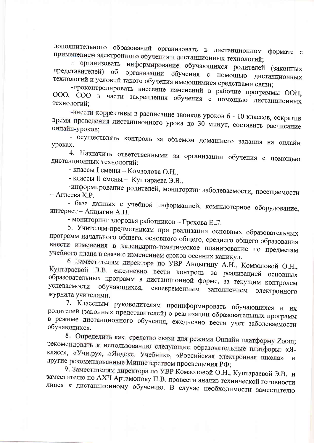дополнительного образований организовать в дистанционном формате с применением электронного обучения и дистанционных технологий;

- организовать информирование обучающихся родителей (законных представителей) организации обучения с помощью дистанционных  $\overline{00}$ технологий и условий такого обучения имеющимися средствами связи;

-проконтролировать внесение изменений в рабочие программы ООП, ООО, СОО в части закрепления обучения с помощью дистанционных технологий;

-внести коррективы в расписание звонков уроков 6 - 10 классов, сократив время проведения дистанционного урока до 30 минут, составить расписание онлайн-уроков;

- осуществлять контроль за объемом домашнего задания на онлайн уроках.

4. Назначить ответственными за организации обучения с помощью дистанционных технологий:

- классы I смены - Комзолова О.Н.,

- классы II смены - Куптараева Э.В.,

-информирование родителей, мониторинг заболеваемости, посещаемости – Аглеева К.Р.

- база данных с учебной информацией, компьютерное оборудование, интернет - Анцыгин А.Н.

- мониторинг здоровья работников - Грехова Е.Л.

5. Учителям-предметникам при реализации основных образовательных программ начального общего, основного общего, среднего общего образования внести изменения в календарно-тематическое планирование по предметам учебного плана в связи с изменением сроков осенних каникул.

6 .Заместителям директора по УВР Анцыгину А.Н., Комзоловой О.Н., Куптараевой Э.В. ежедневно вести контроль за реализацией основных образовательных программ в дистанционной форме, за текущим контролем успеваемости обучающихся, своевременным заполнением электронного журнала учителями.

7. Классным руководителям проинформировать обучающихся и их родителей (законных представителей) о реализации образовательных программ в режиме дистанционного обучения, ежедневно вести учет заболеваемости обучающихся.

8. Определить как средство связи для режима Онлайн платформу Zoom; рекомендовать к использованию следующие образовательные платфоры: «Якласс», «Учи.ру», «Яндекс. Учебник», «Российская электронная школа»  $\overline{M}$ другие рекомендованные Министерством просвещения РФ;

9. Заместителям директора по УВР Комзоловой О.Н., Куптараевой Э.В. и заместителю по АХЧ Артамонову П.В. провести анализ технической готовности лицея к дистанционному обучению. В случае необходимости заместителю